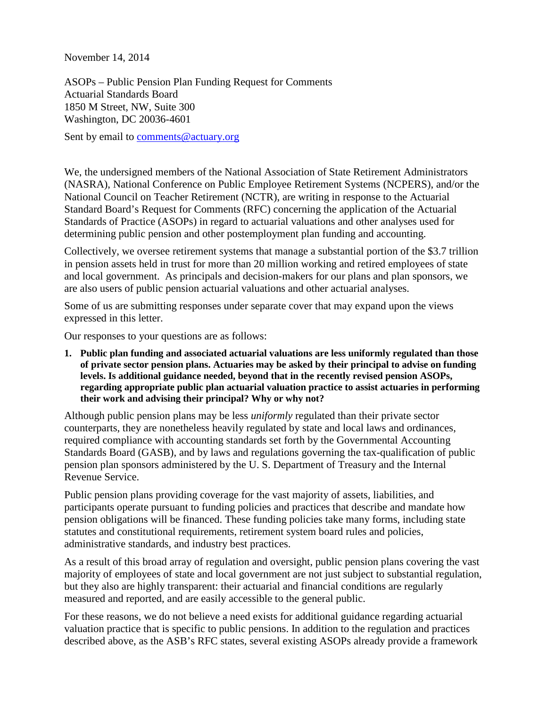November 14, 2014

ASOPs – Public Pension Plan Funding Request for Comments Actuarial Standards Board 1850 M Street, NW, Suite 300 Washington, DC 20036-4601

Sent by email to [comments@actuary.org](mailto:comments@actuary.org)

We, the undersigned members of the National Association of State Retirement Administrators (NASRA), National Conference on Public Employee Retirement Systems (NCPERS), and/or the National Council on Teacher Retirement (NCTR), are writing in response to the Actuarial Standard Board's Request for Comments (RFC) concerning the application of the Actuarial Standards of Practice (ASOPs) in regard to actuarial valuations and other analyses used for determining public pension and other postemployment plan funding and accounting.

Collectively, we oversee retirement systems that manage a substantial portion of the \$3.7 trillion in pension assets held in trust for more than 20 million working and retired employees of state and local government. As principals and decision-makers for our plans and plan sponsors, we are also users of public pension actuarial valuations and other actuarial analyses.

Some of us are submitting responses under separate cover that may expand upon the views expressed in this letter.

Our responses to your questions are as follows:

**1. Public plan funding and associated actuarial valuations are less uniformly regulated than those of private sector pension plans. Actuaries may be asked by their principal to advise on funding levels. Is additional guidance needed, beyond that in the recently revised pension ASOPs, regarding appropriate public plan actuarial valuation practice to assist actuaries in performing their work and advising their principal? Why or why not?**

Although public pension plans may be less *uniformly* regulated than their private sector counterparts, they are nonetheless heavily regulated by state and local laws and ordinances, required compliance with accounting standards set forth by the Governmental Accounting Standards Board (GASB), and by laws and regulations governing the tax-qualification of public pension plan sponsors administered by the U. S. Department of Treasury and the Internal Revenue Service.

Public pension plans providing coverage for the vast majority of assets, liabilities, and participants operate pursuant to funding policies and practices that describe and mandate how pension obligations will be financed. These funding policies take many forms, including state statutes and constitutional requirements, retirement system board rules and policies, administrative standards, and industry best practices.

As a result of this broad array of regulation and oversight, public pension plans covering the vast majority of employees of state and local government are not just subject to substantial regulation, but they also are highly transparent: their actuarial and financial conditions are regularly measured and reported, and are easily accessible to the general public.

For these reasons, we do not believe a need exists for additional guidance regarding actuarial valuation practice that is specific to public pensions. In addition to the regulation and practices described above, as the ASB's RFC states, several existing ASOPs already provide a framework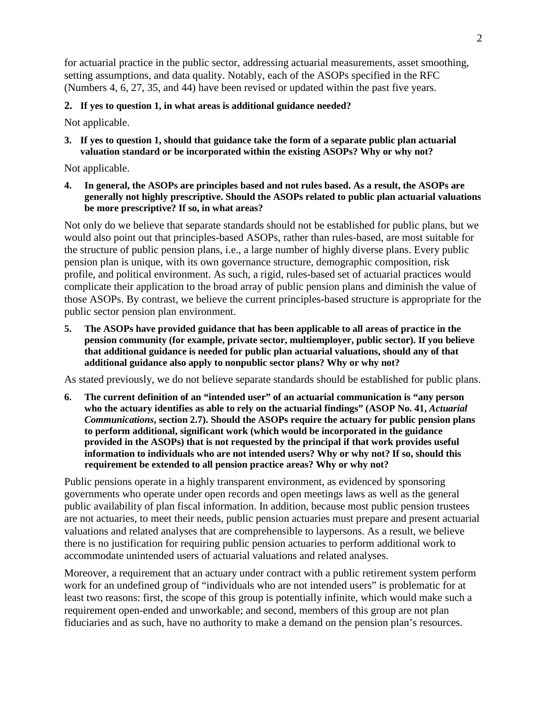for actuarial practice in the public sector, addressing actuarial measurements, asset smoothing, setting assumptions, and data quality. Notably, each of the ASOPs specified in the RFC (Numbers 4, 6, 27, 35, and 44) have been revised or updated within the past five years.

## **2. If yes to question 1, in what areas is additional guidance needed?**

Not applicable.

**3. If yes to question 1, should that guidance take the form of a separate public plan actuarial valuation standard or be incorporated within the existing ASOPs? Why or why not?**

Not applicable.

**4. In general, the ASOPs are principles based and not rules based. As a result, the ASOPs are generally not highly prescriptive. Should the ASOPs related to public plan actuarial valuations be more prescriptive? If so, in what areas?**

Not only do we believe that separate standards should not be established for public plans, but we would also point out that principles-based ASOPs, rather than rules-based, are most suitable for the structure of public pension plans, i.e., a large number of highly diverse plans. Every public pension plan is unique, with its own governance structure, demographic composition, risk profile, and political environment. As such, a rigid, rules-based set of actuarial practices would complicate their application to the broad array of public pension plans and diminish the value of those ASOPs. By contrast, we believe the current principles-based structure is appropriate for the public sector pension plan environment.

**5. The ASOPs have provided guidance that has been applicable to all areas of practice in the pension community (for example, private sector, multiemployer, public sector). If you believe that additional guidance is needed for public plan actuarial valuations, should any of that additional guidance also apply to nonpublic sector plans? Why or why not?**

As stated previously, we do not believe separate standards should be established for public plans.

**6. The current definition of an "intended user" of an actuarial communication is "any person**  who the actuary identifies as able to rely on the actuarial findings" (ASOP No. 41, *Actuarial Communications***, section 2.7). Should the ASOPs require the actuary for public pension plans to perform additional, significant work (which would be incorporated in the guidance provided in the ASOPs) that is not requested by the principal if that work provides useful information to individuals who are not intended users? Why or why not? If so, should this requirement be extended to all pension practice areas? Why or why not?**

Public pensions operate in a highly transparent environment, as evidenced by sponsoring governments who operate under open records and open meetings laws as well as the general public availability of plan fiscal information. In addition, because most public pension trustees are not actuaries, to meet their needs, public pension actuaries must prepare and present actuarial valuations and related analyses that are comprehensible to laypersons. As a result, we believe there is no justification for requiring public pension actuaries to perform additional work to accommodate unintended users of actuarial valuations and related analyses.

Moreover, a requirement that an actuary under contract with a public retirement system perform work for an undefined group of "individuals who are not intended users" is problematic for at least two reasons: first, the scope of this group is potentially infinite, which would make such a requirement open-ended and unworkable; and second, members of this group are not plan fiduciaries and as such, have no authority to make a demand on the pension plan's resources.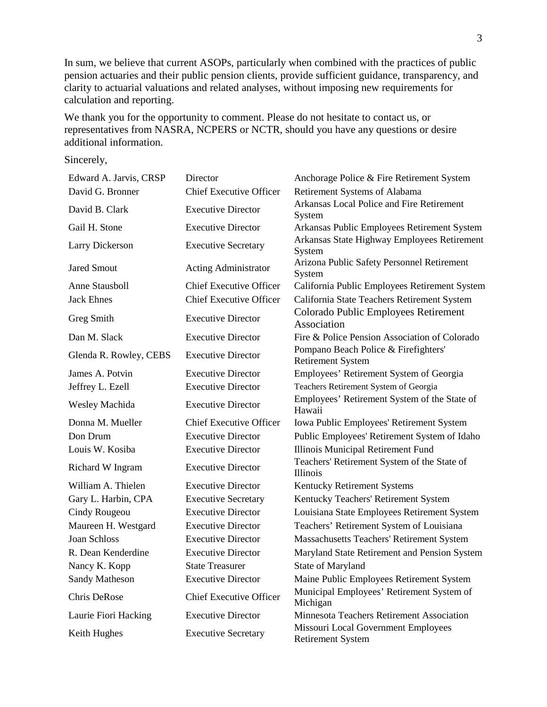In sum, we believe that current ASOPs, particularly when combined with the practices of public pension actuaries and their public pension clients, provide sufficient guidance, transparency, and clarity to actuarial valuations and related analyses, without imposing new requirements for calculation and reporting.

We thank you for the opportunity to comment. Please do not hesitate to contact us, or representatives from NASRA, NCPERS or NCTR, should you have any questions or desire additional information.

Sincerely,

| Edward A. Jarvis, CRSP | Director                       | Anchorage Police & Fire Retirement System                        |
|------------------------|--------------------------------|------------------------------------------------------------------|
| David G. Bronner       | <b>Chief Executive Officer</b> | Retirement Systems of Alabama                                    |
| David B. Clark         | <b>Executive Director</b>      | Arkansas Local Police and Fire Retirement<br>System              |
| Gail H. Stone          | <b>Executive Director</b>      | Arkansas Public Employees Retirement System                      |
| <b>Larry Dickerson</b> | <b>Executive Secretary</b>     | Arkansas State Highway Employees Retirement<br>System            |
| <b>Jared Smout</b>     | <b>Acting Administrator</b>    | Arizona Public Safety Personnel Retirement<br>System             |
| <b>Anne Stausboll</b>  | <b>Chief Executive Officer</b> | California Public Employees Retirement System                    |
| <b>Jack Ehnes</b>      | <b>Chief Executive Officer</b> | California State Teachers Retirement System                      |
| Greg Smith             | <b>Executive Director</b>      | Colorado Public Employees Retirement<br>Association              |
| Dan M. Slack           | <b>Executive Director</b>      | Fire & Police Pension Association of Colorado                    |
| Glenda R. Rowley, CEBS | <b>Executive Director</b>      | Pompano Beach Police & Firefighters'<br><b>Retirement System</b> |
| James A. Potvin        | <b>Executive Director</b>      | Employees' Retirement System of Georgia                          |
| Jeffrey L. Ezell       | <b>Executive Director</b>      | Teachers Retirement System of Georgia                            |
| Wesley Machida         | <b>Executive Director</b>      | Employees' Retirement System of the State of<br>Hawaii           |
| Donna M. Mueller       | <b>Chief Executive Officer</b> | Iowa Public Employees' Retirement System                         |
| Don Drum               | <b>Executive Director</b>      | Public Employees' Retirement System of Idaho                     |
| Louis W. Kosiba        | <b>Executive Director</b>      | Illinois Municipal Retirement Fund                               |
| Richard W Ingram       | <b>Executive Director</b>      | Teachers' Retirement System of the State of<br>Illinois          |
| William A. Thielen     | <b>Executive Director</b>      | Kentucky Retirement Systems                                      |
| Gary L. Harbin, CPA    | <b>Executive Secretary</b>     | Kentucky Teachers' Retirement System                             |
| Cindy Rougeou          | <b>Executive Director</b>      | Louisiana State Employees Retirement System                      |
| Maureen H. Westgard    | <b>Executive Director</b>      | Teachers' Retirement System of Louisiana                         |
| <b>Joan Schloss</b>    | <b>Executive Director</b>      | Massachusetts Teachers' Retirement System                        |
| R. Dean Kenderdine     | <b>Executive Director</b>      | Maryland State Retirement and Pension System                     |
| Nancy K. Kopp          | <b>State Treasurer</b>         | State of Maryland                                                |
| Sandy Matheson         | <b>Executive Director</b>      | Maine Public Employees Retirement System                         |
| Chris DeRose           | <b>Chief Executive Officer</b> | Municipal Employees' Retirement System of<br>Michigan            |
| Laurie Fiori Hacking   | <b>Executive Director</b>      | Minnesota Teachers Retirement Association                        |
| Keith Hughes           | <b>Executive Secretary</b>     | Missouri Local Government Employees<br><b>Retirement System</b>  |